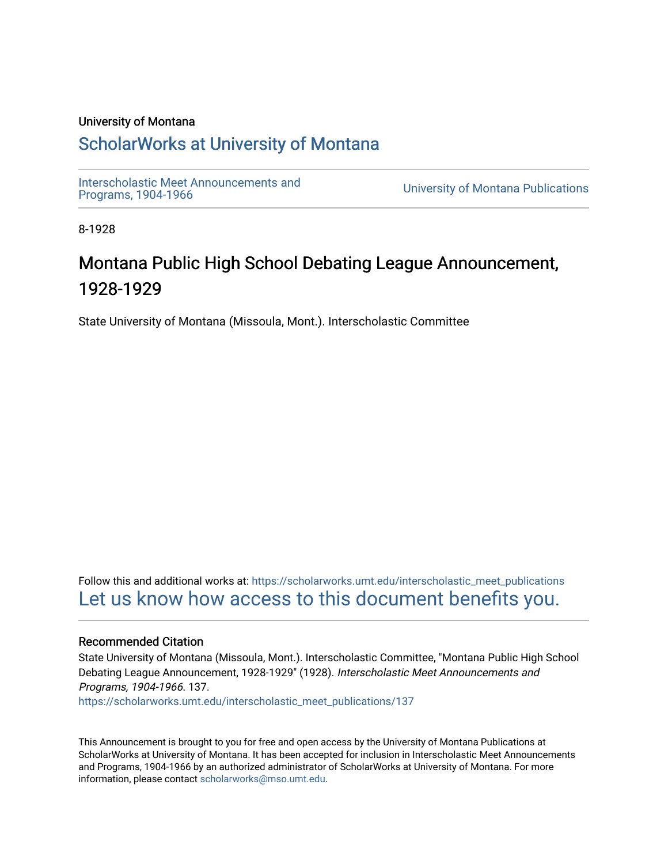# University of Montana

# [ScholarWorks at University of Montana](https://scholarworks.umt.edu/)

Interscholastic Meet Announcements and<br>Programs, 1904-1966

**University of Montana Publications** 

8-1928

# Montana Public High School Debating League Announcement, 1928-1929

State University of Montana (Missoula, Mont.). Interscholastic Committee

Follow this and additional works at: [https://scholarworks.umt.edu/interscholastic\\_meet\\_publications](https://scholarworks.umt.edu/interscholastic_meet_publications?utm_source=scholarworks.umt.edu%2Finterscholastic_meet_publications%2F137&utm_medium=PDF&utm_campaign=PDFCoverPages)  [Let us know how access to this document benefits you.](https://goo.gl/forms/s2rGfXOLzz71qgsB2) 

# Recommended Citation

State University of Montana (Missoula, Mont.). Interscholastic Committee, "Montana Public High School Debating League Announcement, 1928-1929" (1928). Interscholastic Meet Announcements and Programs, 1904-1966. 137.

[https://scholarworks.umt.edu/interscholastic\\_meet\\_publications/137](https://scholarworks.umt.edu/interscholastic_meet_publications/137?utm_source=scholarworks.umt.edu%2Finterscholastic_meet_publications%2F137&utm_medium=PDF&utm_campaign=PDFCoverPages) 

This Announcement is brought to you for free and open access by the University of Montana Publications at ScholarWorks at University of Montana. It has been accepted for inclusion in Interscholastic Meet Announcements and Programs, 1904-1966 by an authorized administrator of ScholarWorks at University of Montana. For more information, please contact [scholarworks@mso.umt.edu](mailto:scholarworks@mso.umt.edu).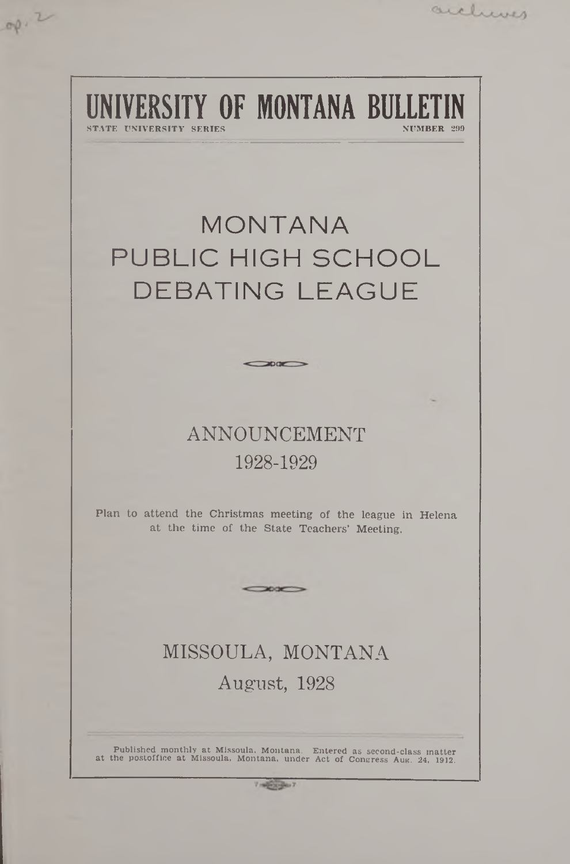# **IVERSITY OF MONTANA BULLET** STIMBER 299

 $op.2$ 

archives

# **MONTANA** PUBLIC HIGH SCHOOL DE BATING LEAGUE

# ANNOUNCEMENT 1928-1929

 $\rightarrow$ 

Plan to attend the Christmas meeting of the league in Helena at the time of the State Teachers' Meeting.

 $\sim$ 

# MISSOULA, MONTANA August, 1928

Published monthly at Missoula, Montana. Entered as second-class matter at the postoffice at Missoula. Montana, under Act of Congress Aug. 24. 1912.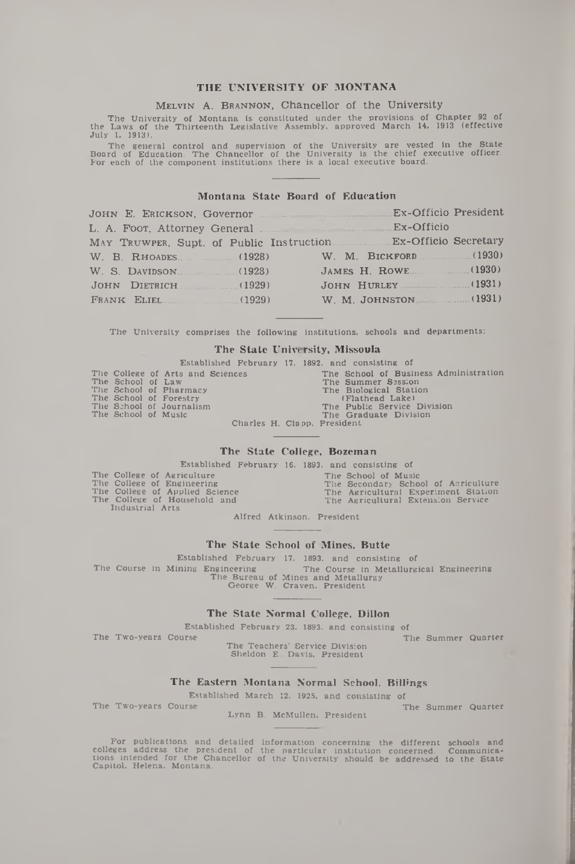## THE UNIVERSITY OF MONTANA

#### MELVIN A. BRANNON, Chancellor of the University

The University of Montana is constituted under the provisions of Chapter 92 of the Laws of the Thirteenth Legislative Assembly, approved March 14, 1913 (effective July 1. 1913).

The general control and supervision of the University are vested in the State<br>Board of Education. The Chancellor of the University is the chief executive officer.<br>For each of the component institutions there is a local exe

#### Montana State Board of Education

| JOHN E. ERICKSON, Governor Manuel Alex-Officio President |                       |
|----------------------------------------------------------|-----------------------|
|                                                          |                       |
|                                                          |                       |
| W. B. RHOADES. (1928) W. M. BICKFORD (1930)              |                       |
| W. S. DAVIDSON. (1928)                                   | JAMES H. ROWE. (1930) |
| JOHN DIETRICH. (1929)                                    |                       |
| FRANK ELIEL. (1929)                                      | W. M. JOHNSTON (1931) |

The University comprises the following institutions, schools and departments:

### The State University, Missoula

|                     |                                  |  | Established February 17, 1892, and consisting of |
|---------------------|----------------------------------|--|--------------------------------------------------|
|                     | The College of Arts and Sciences |  | The School of Business Administration            |
| The School of Law   |                                  |  | The Summer Session                               |
|                     | The School of Pharmacy           |  | The Biological Station                           |
|                     | The School of Forestry           |  | (Flathead Lake)                                  |
|                     | The School of Journalism         |  | The Public Service Division                      |
| The School of Music |                                  |  | The Graduate Division                            |
|                     |                                  |  | Charles H. Clapp, President                      |

#### The State College, Bozeman

Established February 16. 1893. and consisting of

|                 | The College of Agriculture     |  |
|-----------------|--------------------------------|--|
|                 | The College of Engineering     |  |
|                 | The College of Applied Science |  |
|                 | The College of Household and   |  |
| Industrial Arts |                                |  |

The School of Music The Secondary School of Agriculture The Agricultural Experiment Station The Agricultural Extension Service

Alfred Atkinson. President

#### The State School of Mines, Butte

Established February 17, 1893, and consisting of<br>The Course in Mining Engineering The Course in Metallurg The Course in Mining Engineering The Course in Metallurgical Engineering The Bureau of Mines and Metallurgy George W. Craven. President

#### The State Normal College, Dillon

Established February 23, 1893, and consisting of

The Two-years Course The Summer Quarter

The Teachers' Service Division Sheldon E. Davis, President

#### The Eastern Montana Normal School, Billings

Established March 12. 1925, and consisting of

Lynn B. McMullen, President

The Two-years Course The Summer Quarter

For publications and detailed information concerning the different schools and<br>colleges address the president of the particular institution concerned. Communica-<br>tions intended for the Chancellor of the University should b Capitol, Helena. Montana.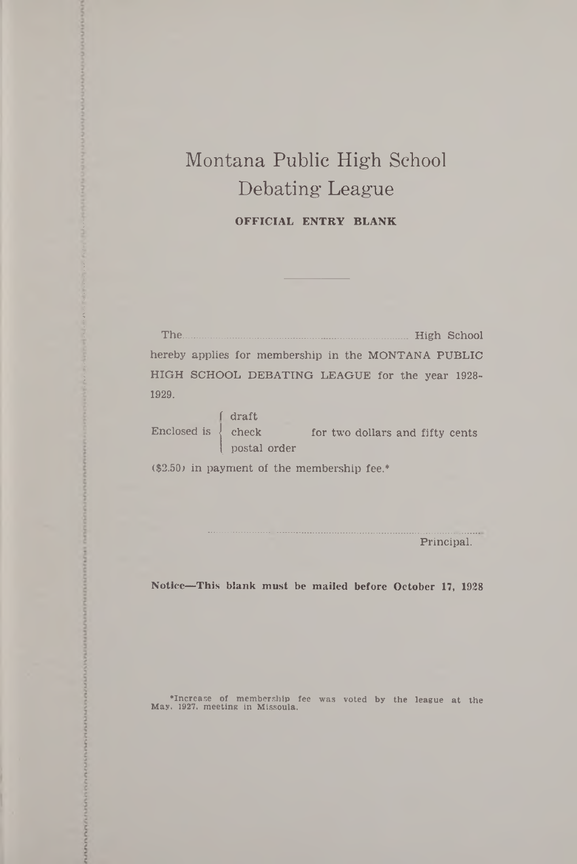# Montana Public High School Debating League

OFFICIAL ENTRY BLANK

The....................................................................... High School hereby applies for membership in the MONTANA PUBLIC HIGH SCHOOL DEBATING LEAGUE for the year 1928- 1929.

f draft  $Enclosed is \nvert$  check for two dollars and fifty cents postal order

(\$2.50) in payment of the membership fee.\*

Principal.

Notice—This blank must be mailed before October 17, 1928

•Increase of membership fee was voted by the league at the May, 1927, meeting in Missoula.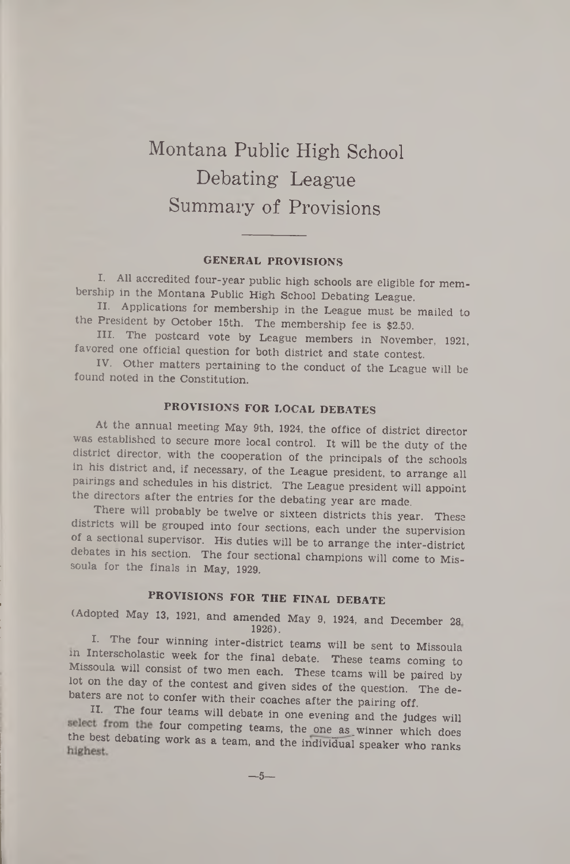# Montana Public High School Debating League Summary of Provisions

# GENERAL PROVISIONS

I. All accredited four-year public high schools are eligible for membership in the Montana Public High School Debating League.

II. Applications for membership in the League must be mailed to the President by October 15th. The membership fee is \$2.50.

III. The postcard vote by League members in November, 1921, favored one official question for both district and state contest.

IV. Other matters pertaining to the conduct of the League will be found noted in the Constitution.

# PROVISIONS FOR LOCAL DEBATES

At the annual meeting May 9th, 1924, the office of district director was established to secure more local control. It will be the duty of the district director, with the cooperation of the principals of the schools in his district and, if necessary, of the League president, to arrange all pairings and schedules in his district. The League president will appoint the directors after the entries for the debating year are made.

There will probably be twelve or sixteen districts this year. These districts will be grouped into four sections, each under the supervision of a sectional supervisor. His duties will be to arrange the inter-district debates in his section. The four sectional champions will come to Missoula for the finals in May, 1929.

# PROVISIONS FOR THE FINAL DEBATE

(Adopted May 13, 1921, and amended May 9, 1924, and December 28 1926).

I. The four winning inter-district teams will be sent to Missoula in Interscholastic week for the final debate. These teams coming to Missoula will consist of two men each. These teams will be paired by lot on the day of the contest and given sides of the question. The debaters are not to confer with their coaches after the pairing off.

H. The four teams will debate in one evening and the judges will select from the four competing teams, the one as winner which does the best debating work as a team, and the individual speaker who ranks

 $-5-$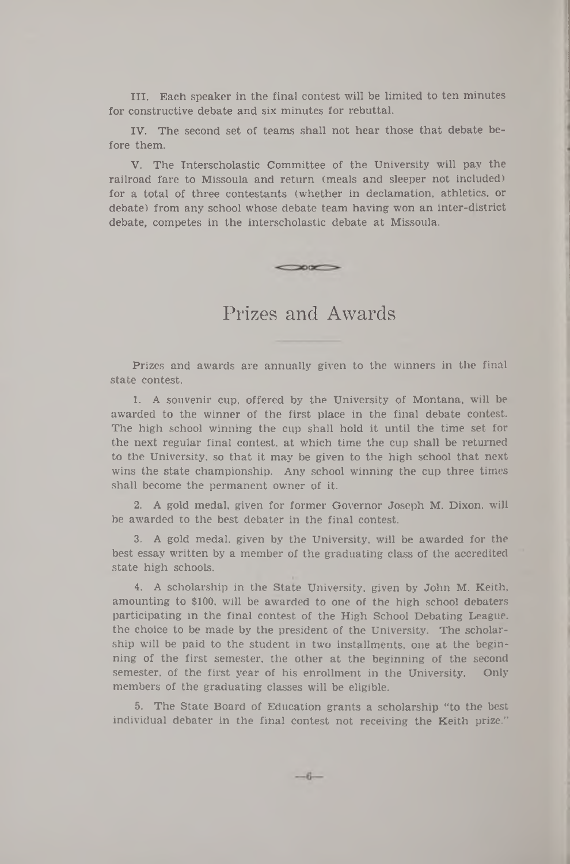III. Each speaker in the final contest will be limited to ten minutes for constructive debate and six minutes for rebuttal.

IV. The second set of teams shall not hear those that debate before them.

V. The Interscholastic Committee of the University will pay the railroad fare to Missoula and return (meals and sleeper not included) for a total of three contestants (whether in declamation, athletics, or debate) from any school whose debate team having won an inter-district debate, competes in the interscholastic debate at Missoula.

Prizes and Awards

 $\infty$ 

Prizes and awards are annually given to the winners in the final state contest.

1. A souvenir cup, offered by the University of Montana, will be awarded to the winner of the first place in the final debate contest. The high school winning the cup shall hold it until the time set for the next regular final contest, at which time the cup shall be returned to the University, so that it may be given to the high school that next wins the state championship. Any school winning the cup three times shall become the permanent owner of it.

2. A gold medal, given for former Governor Joseph M. Dixon, will be awarded to the best debater in the final contest.

3. A gold medal, given by the University, will be awarded for the best essay written by a member of the graduating class of the accredited state high schools.

4. A scholarship in the State University, given by John M. Keith, amounting to \$100, will be awarded to one of the high school debaters participating in the final contest of the High School Debating League, the choice to be made by the president of the University. The scholarship will be paid to the student in two installments, one at the beginning of the first semester, the other at the beginning of the second semester, of the first year of his enrollment in the University. Only members of the graduating classes will be eligible.

5. The State Board of Education grants a scholarship "to the best individual debater in the final contest not receiving the Keith prize."

 $-6-$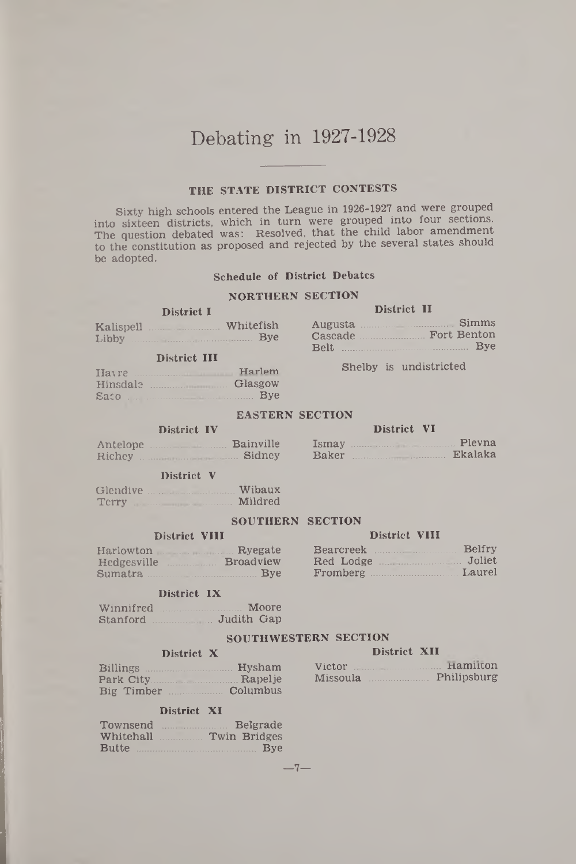# Debating in 1927-1928

# THE STATE DISTRICT CONTESTS

Sixty high schools entered the League in 1926-1927 and were grouped into sixteen districts, which in turn were grouped into four sections. The question debated was: Resolved, that the child labor amendment to the constitution as proposed and rejected by the several states should be adopted.

# Schedule of District Debates

## NORTHERN SECTION

### District I

| Kalispell | Whitefish  | Augusta |
|-----------|------------|---------|
| Libby     | <b>Bye</b> | Cascade |

## District III

|              | Harlem  |
|--------------|---------|
| Hinsdale     | Glasgow |
| $Sacc$ $Bye$ |         |

District IV Antelope ........................Bainville

## District II

| Whitefish |       | Augusta Simms       |
|-----------|-------|---------------------|
| Bye       |       | Cascade Fort Benton |
|           | Relt. | Bye                 |

Shelby is undistricted

### EASTERN SECTION

# District VI

| Ismay | Pleyna  |
|-------|---------|
| Baker | Ekalaka |

# Richey ............................ Sidney District V

| Glendive Service Communications                                                                                | Wibaux  |
|----------------------------------------------------------------------------------------------------------------|---------|
| Terry The Commission of the Commission of the Commission of the Commission of the Commission of the Commission | Mildred |

## SOUTHERN SECTION

## District VIII District VIII

| Harlowton Ryegate                    | Bearcreek Belfry |  |
|--------------------------------------|------------------|--|
| Hedgesville <b>Example Broadview</b> |                  |  |
| Sumatra Bye                          | Fromberg Laurel  |  |

# Sumatra.................................... Bye Fromberg..............................Laurel

### District IX

| Winnifred | Moore      |
|-----------|------------|
| Stanford  | Judith Gap |

### SOUTHWESTERN SECTION

|                                     | Victor Hamilton      |
|-------------------------------------|----------------------|
|                                     | Missoula Philipsburg |
| Big Timber _______________ Columbus |                      |

## District XI

| Townsend |                        | Belgrade   |
|----------|------------------------|------------|
|          | Whitehall Twin Bridges |            |
|          | Butte                  | <b>Bye</b> |

 $-7-$ 

# District X District XII

|  | Hamilton<br>Victor |             |
|--|--------------------|-------------|
|  | Missoula           | Philipsburg |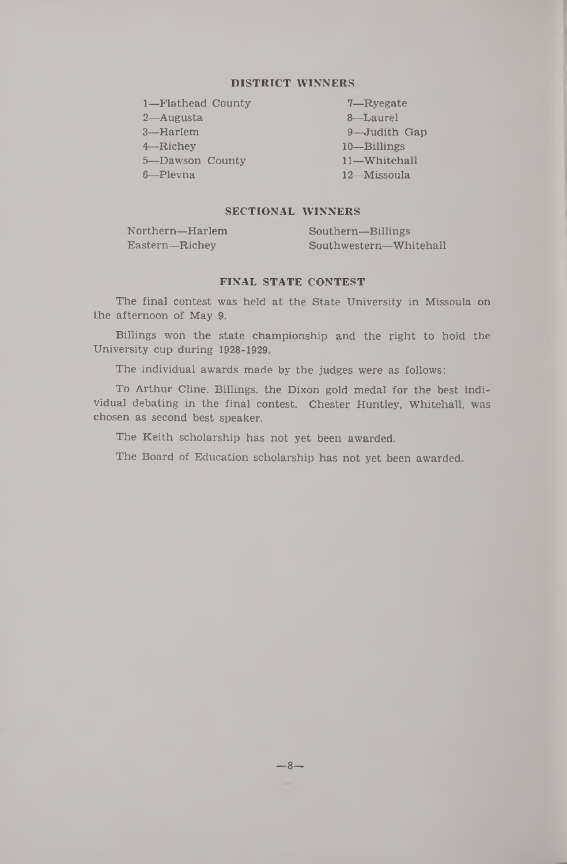## DISTRICT WINNERS

| 1-Flathead County |  |
|-------------------|--|
| 2—Augusta         |  |
| 3-Harlem          |  |
| $4 -$ Richev      |  |
| 5-Dawson County   |  |
| 6-Plevna          |  |

7—Ryegate 8—Laurel 9—Judith Gap 10— Billings 11— Whitehall 12— Missoula

# SECTIONAL WINNERS

| Northern—Harlem | Southern-Billings      |
|-----------------|------------------------|
| Eastern-Richey  | Southwestern-Whitehall |

## FINAL STATE CONTEST

The final contest was held at the State University in Missoula on the afternoon of May 9.

Billings won the state championship and the right to hold the University cup during 1928-1929.

The individual awards made by the judges were as follows:

To Arthur Cline, Billings, the Dixon gold medal for the best individual debating in the final contest. Chester Huntley, Whitehall, was chosen as second best speaker.

The Keith scholarship has not yet been awarded.

The Board of Education scholarship has not yet been awarded.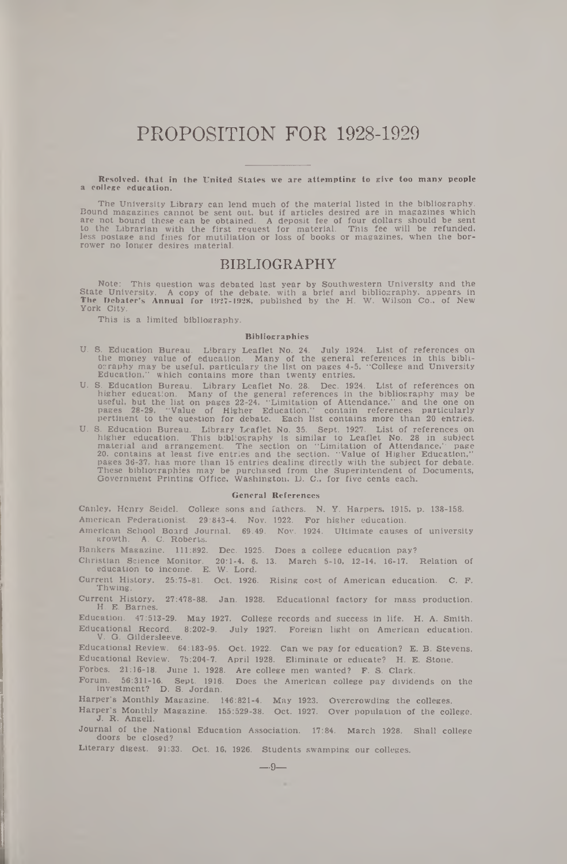# PROPOSITION FOR 1928-1929

Resolved, that in the United States we are attempting to give too many people a college education.

The University Library can lend much of the material listed in the bibliography. Bound magazines cannot be sent out, but if articles desired are in magazines which<br>are not bound these can be obtained. A deposit fee of four dollars should be sent<br>to the Librarian with the first request for material. Thi rower no longer desires material.

# **BIBLIOGRAPHY**

Note: This question was debated last year by Southwestern University and the<br>State University. A copy of the debate, with a brief and bibliography, appears in<br>The Debater's Annual for 1927–1928, published by the H. W. Wils York City.

This is a limited bibliography.

#### Bibliographies

- U. S. Education Bureau. Library Leaflet No. 24. July 1924. List of references on the money value of education. Many of the general references in this bibli-<br>ocraphy may be useful, particulary the list on pages 4-5, "Colleg
- U. S. Education Bureau. Library Leaflet No. 28. Dec. 1924. List of references on higher education. Many of the general references in the bibliography may be useful, but the list on pages 22-24. 'Limitation of Attendance.'
- U. S. Education Bureau. Library Leaflet No. 35. Sept. 1927. List of references on higher education. This bibliography is similar to Leaflet No. 28 in subject material and arrangement. The section on "Limitation of Attendan

#### General References

Canley, Henry Seidel. College sons and fathers. N. Y. Harpers, 1915, p. 138-158. American Federationist. 29:843-4. Nov. 1922. For higher education.

American School Board Journal. 69:49. Nov. 1924. Ultimate causes of university growth. A. C. Roberts.

Bankers Magazine. 111:892. Dec. 1925. Does a college education pay?

Christian Science Monitor. 20:1-4. 6. 13. March 5-10, 12-14, 16-17. Relation of education to income. E. W. Lord.

Current History. 25:75-81. Oct. 1926. Rising cost of American education. C. F. Thwing.

27:478-88. Jan. 1928. Educational factory for mass production. Current History.<br>H. E. Barnes.

Education. 47:513-29. May 1927. College records and success in life. H. A. Smith. Educational Record. 8:202-9. July 1927. Foreign light on American education. V. G. Gildersleeve.

Educational Review. 64:183-95. Oct. 1922. Can we pay for education? E. B. Stevens. Educational Review. 75:204-7. April 1928. Eliminate or educate? H. E. Stone.

Forbes. 21:16-18. June 1, 1928. Are college men wanted? F. S. Clark.

Forum. 56:311-16. Sept. 1916. Does the American college pay dividends on the investment? D. S. Jordan.

Harper's Monthly Magazine. 146:821-4. May 1923. Overcrowding the colleges.

Harper's Monthly Magazine. 155:529-38. Oct. 1927. Over population of the college. J. R. Angell.

Journal of the National Education Association. 17:84. March 1928. Shall college doors be closed?

Literary digest. 91:33. Oct. 16, 1926. Students swamping our colleges.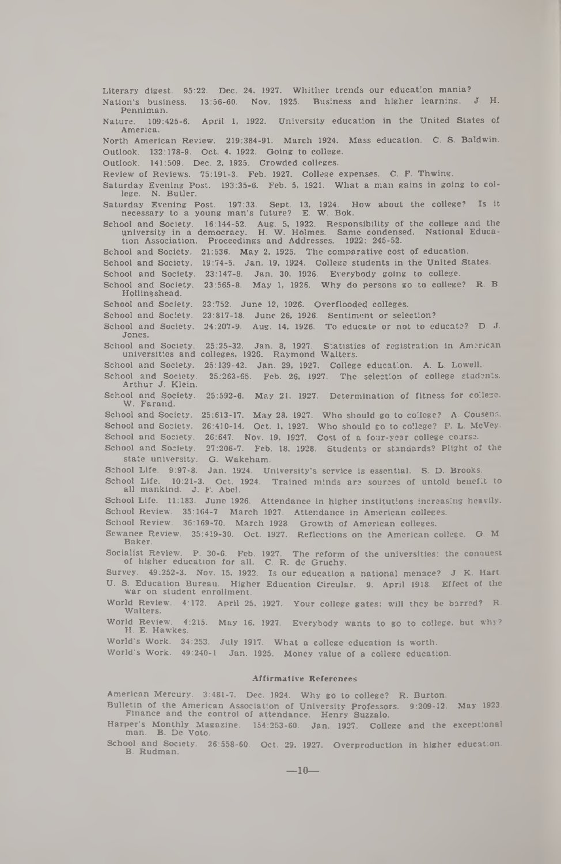Literary digest. 95:22. Dec. 24, 1927. Whither trends our education mania? Nation's business. 13:56-60. Nov. 1925. Business and higher learning. J. H. Penniman. Nature. 109:425-6. April 1, 1922. University education in the United States of America. North American Review. 219:384-91. March 1924. Mass education. C. S. Baldwin. Outlook. 132:178-9. Oct. 4, 1922. Going to college. Outlook. 141:509. Dec. 2, 1925. Crowded colleges. Review of Reviews. 75:191-3. Feb. 1927. College expenses. C. F. Thwing. Saturday Evening Post. 193:35-6. Feb. 5, 1921. What a man gains in going to college. N. Butler. Saturday Evening Post. 197:33. Sept. 13, 1924. How about the college? Is it necessary to a young man's future? E. W. Bok. School and Society. 16:144-52. Aug. 5, 1922. Responsibility of the college and the university in a democracy. H. W. Holmes. Same condensed. National Educa-tion Association. Proceedings and Addresses. 1922: 245-52. School and Society. 21:536. May 2, 1925. The comparative cost of education. School and Society. 19:74-5. Jan. 19, 1924. College students in the United States. School and Society. 23:147-8. Jan. 30, 1926. Everybody going to college. School and Society. 23:565-8. May 1, 1926. Why do persons go to college? R. B. Holling shead. School and Society. 23:752. June 12, 1926. Overflooded colleges. School and Society. 23:817-18. June 26, 1926. Sentiment or selection? School and Society. 24:207-9. Aug. 14, 1926. To educate or not to educate? D. J. Jones. School and Society. 25:25-32. Jan. 8, 1927. Statistics of registration in American universities and colleges, 1926. Raymond Walters. School and Society. 25:139-42. Jan. 29, 1927. College education. A. L. Lowell. School and Society. 25:263-65. Feb. 26, 1927. The selection of college students. Arthur J. Klein. School and Society. 25:592-6. May 21, 1927. Determination of fitness for college. W. Farand. School and Society. 25:613-17. May 28. 1927. Who should go to college? A. Cousens. School and Society. 26:410-14. Oct. 1, 1927. Who should go to college? F. L. McVey. School and Society. 26:647. Nov. 19, 1927. Cost of a four-year college course. School and Society. 27:206-7. Feb. 18, 1928. Students or standards? Plight of the state university. G. Wakeham. School Life. 9:97-8. Jan. 1924. University's service is essential. S. D. Brooks. School Life. 10:21-3. Oct. 1924. Trained minds are sources of untold benefit to all mankind. J. F. Abel. School Life. 11:183. June 1926. Attendance in higher institutions increasing heavily. School Review. 35:164-7 March 1927. Attendance in American colleges. School Review. 36:169-70. March 1923. Growth of American colleges. Sewanee Review. 35:419-30. Oct. 1927. Reflections on the American college. G. M. Baker. Socialist Review. P. 30-6. Feb. 1927. The reform of the universities: the conquest of higher education for all. C. R. de Gruchy. Survey. 49:252-3. Nov. 15, 1922. Is our education a national menace? J. K. Hart. U. S. Education Bureau. Higher Education Circular. 9. April 1918. Effect of the war on student enrollment. World Review. 4:172. April 25, 1927. Your college gates; will they be barred? R. Walters. World Review. 4:215. May 16, 1927. Everybody wants to go to college, but why? H. E. Hawkes. World's Work. 34:253. July 1917. What a college education is worth. World's Work. 49:240-1 Jan. 1925. Money value of a college education. Affirmative References American Mercury. 3:481-7. Dec. 1924. Why go to college? R. Burton. Bulletin of the American Association of University Professors. 9:209-12. May 1923. Finance and the control of attendance. Henry Suzzalo. Harper's Monthly Magazine. 154:253-60. Jan. 1927. College and the exceptional

man. B. De Voto. School and Society. 26:558-60. Oct. 29, 1927. Overproduction in higher education.

B. Rudman.

 $-10-$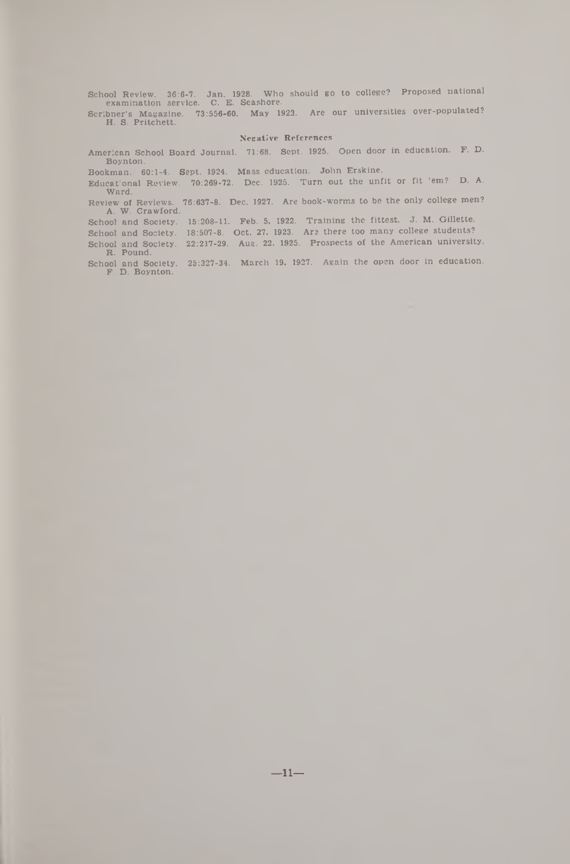School Review. 36:6-7. Jan. 1928. Who should go to college? Proposed national examination service. C. E. Seashore.

Scribner's Magazine. 73:656-60. May 1923. Are our universities over-populated? H. S. Pritchett.

#### Negative References

American School Board Journal. 71:68. Sept. 1925. Open door in education. P. D. Boynton.

Bookman. 60:1-4. Sept. 1924. Mass education. John Erskine.

Educational Review. 70:269-72. Dec. 1925. Turn out the unfit or fit 'em? D. A. Ward.

Review of Reviews. 76:637-8. Dec. 1927. Are book-worms to be the only college men? A. W. Crawford.

School and Society. 15:208-11. Feb. 5, 1922. Training the fittest. J. M. Gillette.

School and Society. 18:507-8. Oct. 27, 1923. Are there too many college students? School and Society. 22:217-29. Aug. 22, 1925. Prospects of the American university. R. Pound.

School and Society. F. D. Boynton. 25:327-34. March 19, 1927. Again the open door in education.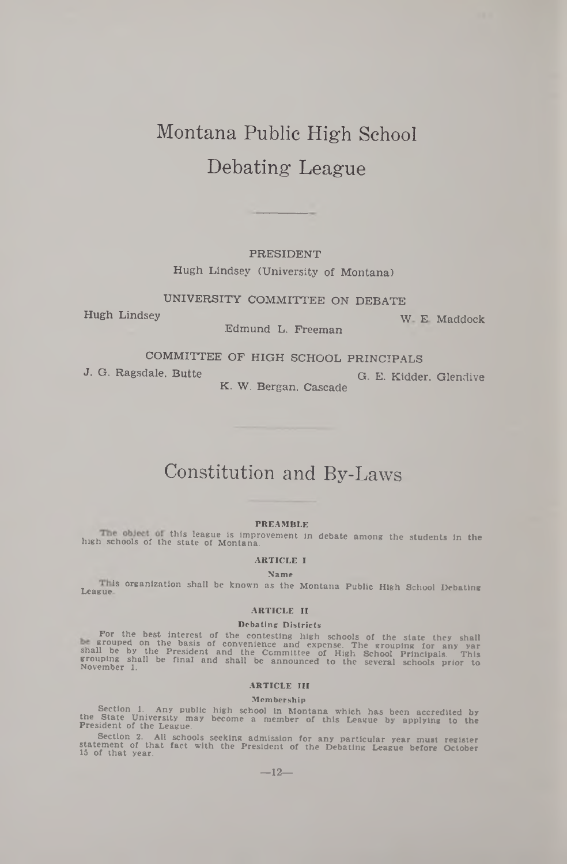# Montana Public High School Debating League

### PRESIDENT

Hugh Lindsey (University of Montana)

UNIVERSITY COMMITTEE ON DEBATE

Hugh Lindsey w E Maddock

Edmund L. Freeman

COMMITTEE OF HIGH SCHOOL PRINCIPALS

J. G. Ragsdale, Butte G. E. Kidder, Glendive

K. W. Bergan, Cascade

# Constitution and By-Laws

#### PREAMBLE

h this league is improvement in debate among the students in the high schools of the state of Montana.

# ARTICLE I

Name

This organization shall be known as the Montana Public High School Debating<br>League

#### ARTICLE II

#### Debating Districts

For the best interest of the contesting high schools of the state they shall<br>a grouped on the basis of convenience and expense. The grouping for any var<br>shall be by the President and the Committee of High School Principals

#### ARTICLE in

#### Membership

Section 1. Any public high school in Montana which has been accredited by<br>the State University may become a member of this League by applying to the<br>President of the League.

Section 2. All schools seeking admission for any particular year must register<br>statement of that fact with the President of the Debating League before October<br>15 of that year.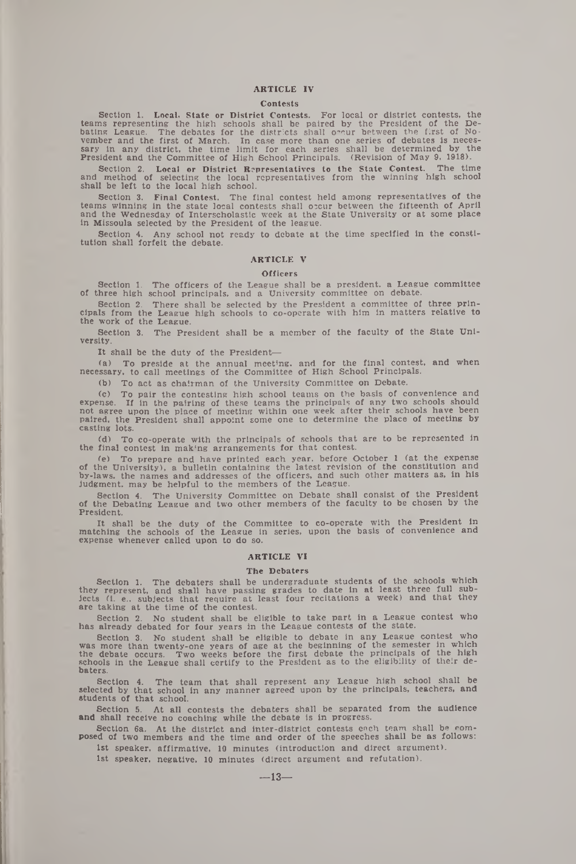#### ARTICLE IV

#### Contests

Section 1. Local. State or District Contests. For local or district contests, the teams representing the high schools shall be paired by the President of the Debating League. The debates for the districts shall oncur between the first of No-<br>vember and the first of March. In case more than one series o

Section 2. Local or District Representatives to the State Contest. The time and method of selecting the local representatives from the winning high school shall be left to the local high school.

Section 3. Final Contest. The final contest held among representatives of the teams winning in the state local contests shall occur between the fifteenth of April and the Wednesday of Interscholastic week at the State University or at some place in Missoula selected by the President of the league.

Section 4. Any school not ready to debate at the time specified in the consti-tution shall forfeit the debate.

#### ARTICLE V

#### **Officers**

Section 1. The officers of the League shall be a president, a League committee of three high school principals, and a University committee on debate.

Section 2. There shall be selected by the President a committee of three principals from the League high schools to co-operate with him in matters relative to the work of the League.

Section 3. The President shall be a member of the faculty of the State University.

It shall be the duty of the President—

(a) To preside at the annual meeting, and for the final contest, and when necessary, to call meetings of the Committee of High School Principals.

(b) To act as chairman of the University Committee on Debate.

(c) To pair the contesting high school teams on the basis of convenience and expense. If in the pairing of these teams the principals of any two schools should<br>not agree upon the place of meeting within one week after their schools have been<br>paired, the President shall appoint some one to determine casting lots.

(d) To co-operate with the principals of schools that are to be represented in the final contest in making arrangements for that contest.

(e) To prepare and have printed each year, before October 1 (at the expense of the University), a bulletin containing the latest revision of the constitution and by-laws, the names and addresses of the officers, and such o

Section 4. The University Committee on Debate shall consist of the President of the Debating League and two other members of the faculty to be chosen by the President.

It shall be the duty of the Committee to co-operate with the President in matching the schools of the League in series, upon the basis of convenience and expense whenever called upon to do so.

#### ARTICLE VI

#### The Debaters

Section 1. The debaters shall be undergraduate students of the schools which<br>they represent, and shall have passing grades to date in at least three full sub-<br>jects (i. e., subjects that require at least four recitations a are taking at the time of the contest.

Section 2. No student shall be eligible to take part in a League contest who has already debated for four years in the League contests of the state.

Section 3. No student shall be eligible to debate in any League contest who<br>was more than twenty-one years of age at the beginning of the semester in which<br>the debate occurs. Two weeks before the first debate the principal schools in the League shall certify to the President as to the eligibility of their debaters.

Section 4. The team that shall represent any League high school shall be selected by that school in any manner agreed upon by the principals, teachers, and students of that school.

Section 5. At all contests the debaters shall be separated from the audience and shall receive no coaching while the debate is in progress.

Section 6a. At the district and inter-district contests each team shall be com-posed of two members and the time and order of the speeches shall be as follows:

1st speaker, affirmative, 10 minutes (introduction and direct argument). 1st speaker, negative, 10 minutes (direct argument and refutation).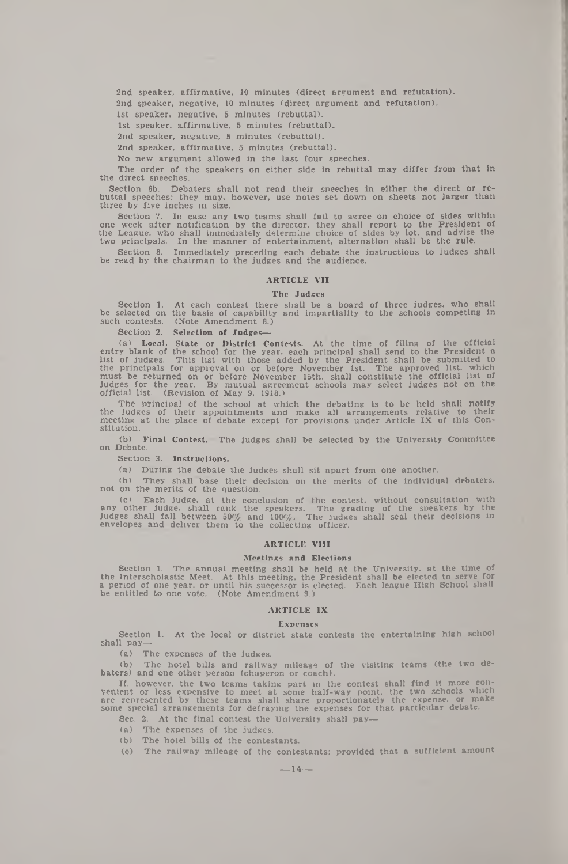2nd speaker, affirmative, 10 minutes (direct argument and refutation). 2nd speaker, negative, 10 minutes (direct argument and refutation).

1st speaker, negative, 5 minutes (rebuttal).

1st speaker, affirmative, 5 minutes (rebuttal).

2nd speaker, negative, 5 minutes (rebuttal).

2nd speaker, affirmative, 5 minutes (rebuttal).

No new argument allowed in the last four speeches.

The order of the speakers on either side in rebuttal may differ from that In the direct speeches.

Section 6b. Debaters shall not read their speeches in either the direct or re-buttal speeches: they may, however, use notes set down on sheets not larger than three by five inches in size.

Section 7. In case any two teams shall fail to agree on choice of sides within<br>one week after notification by the director, they shall report to the President of<br>the League, who shall immediately determine choice of sides two principals. In the manner of entertainment, alternation shall be the rule.

Section 8. Immediately preceding each debate the instructions to judges shall be read by the chairman to the judges and the audience.

#### **ARTICLE VII**

#### The Judges

Section 1. At each contest there shall be a board of three judges, who shall be selected on the basis of capability and impartiality to the schools competing In such contests. (Note Amendment 8.)

### Section 2. Selection of Judges-

(a) Local. State or District Contests. At the time of filing of the official<br>entry blank of the school for the year, each principal shall send to the President a<br>list of judges. This list with those added by the President

The principal of the school at which the debating is to be held shall notify the judges of their appointments and make all arrangements relative to their meeting at the place of debate except for provisions under Article IX of this Constitution.

(b) Final Contest.' The judges shall be selected by the University Committee on Debate.

Section 3. Instructions.

(a) During the debate the judges shall sit apart from one another.

(b) They shall base their decision on the merits of the individual debaters, not on the merits of the question.

(c) Each judge, at the conclusion of the contest, without consultation with any other judge, shall rank the speakers. The grading of the speakers by the judges shall fall between  $50\%$  and  $100\%$ . The judges shall seal

#### ARTICLE VIII

#### Meetings and Elections

Section 1. The annual meeting shall be held at the University, at the time of<br>the Interscholastic Meet. At this meeting, the President shall be elected to serve for<br>a period of one year, or until his successor is elected. be entitled to one vote. (Note Amendment 9.)

#### ARTICLE IX

#### Expenses

Section 1. At the local or district state contests the entertaining high school shall pay—

(a) The expenses of the judges.

(b) The hotel bills and railway mileage of the visiting teams (the two debaters) and one other person (chaperon or coach).

If, however, the two teams taking part in the contest shall find it more convenient or less expensive to meet at some half-way point, the two schools which are represented by these teams shall share proportionately the exp

- Sec. 2. At the final contest the University shall pay—
- (a) The expenses of the judges.
- (b) The hotel bills of the contestants.
- (c) The railway mileage of the contestants: provided that a sufficient amount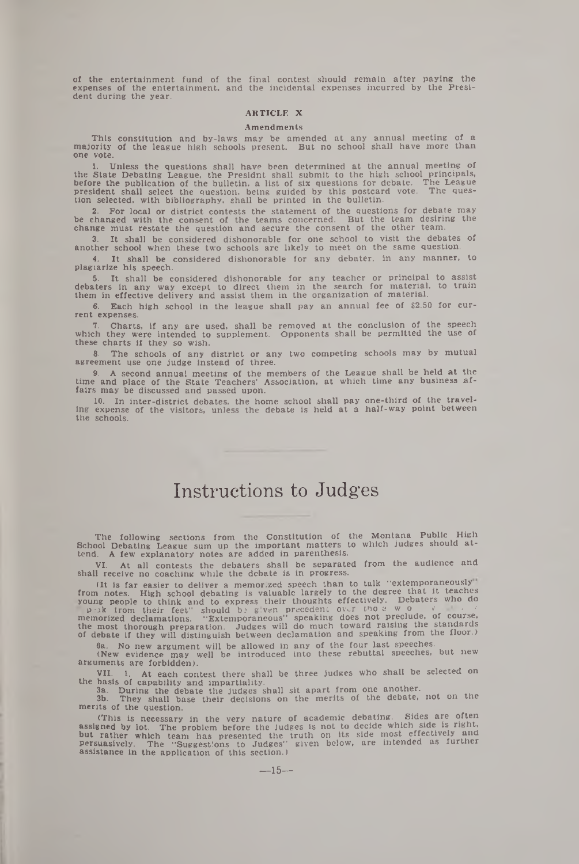of the entertainment fund of the final contest should remain after paying the expenses of the entertainment, and the incidental expenses incurred by the Presi-dent during the year.

### ARTICLE X

#### **Amendments**

This constitution and by-laws may be amended at any annual meeting of a majority of the league high schools present. But no school shall have more than one vote.

1. Unless the questions shall have been determined at the annual meeting of<br>the State Debating League, the Presidnt shall submit to the high school principals,<br>before the publication of the bulletin. a list of six question

2. For local or district contests the statement of the questions for debate may<br>be changed with the consent of the teams concerned. But the team desiring the<br>change must restate the question and secure the consent of the o

3. It shall be considered dishonorable for one school to visit the debates of another school when these two schools are likely to meet on the same question.

4. It shall be considered dishonorable for any debater, in any manner, to plagiarize his speech.

5. It shall be considered dishonorable for any teacher or principal to assist<br>debaters in any way except to direct them in the search for material, to train<br>them in effective delivery and assist them in the organization of

6. Each high school in the league shall pay an annual fee of \$2.50 for current expenses.

7. Charts, if any are used, shall be removed at the conclusion of the speech which they were intended to supplement. Opponents shall be permitted the use of these charts if they so wish.

8. The schools of any district or any two competing schools may by mutual agreement use one judge instead of three.

9. A second annual meeting of the members of the League shall be held at the time and place of the State Teachers' Association, at which time any business af-fairs may be discussed and passed upon.

10. In inter-district debates, the home school shall pay one-third of the traveling expense of the visitors, unless the debate is held at a half-way point between the schools.

# Instructions to Judges

The following sections from the Constitution of the Montana Public High School Debating League sum up the important matters to which judges should at-tend. A few explanatory notes are added in parenthesis.

VI. At all contests the debaters shall be separated from the audience and shall receive no coaching while the debate is in progress.

(It is far easier to deliver a memorized speech than to talk "extemporaneously" from notes. High school debating is valuable largely to the degree that it teaches<br>young people to think and to express their thoughts effectively. Debaters who do<br> $p \sin k$  from their feet" should b; given precedent over th

6a. No new argument will be allowed in any of the four last speeches.

(New evidence may well be introduced into these rebuttal speeches, but new arguments are forbidden).

VII. 1. At each contest there shall be three judges who shall be selected on the basis of capability and impartiality.

3a. During the debate the judges shall sit apart from one another. 3b. They shall base their decisions on the merits of the debate, not on tne merits of the question.

(This is necessary in the very nature of academic debating. Sides are often assigned by lot. The problem before the judges is not to decide which side is right.<br>but rather which team has presented the truth on its side mos